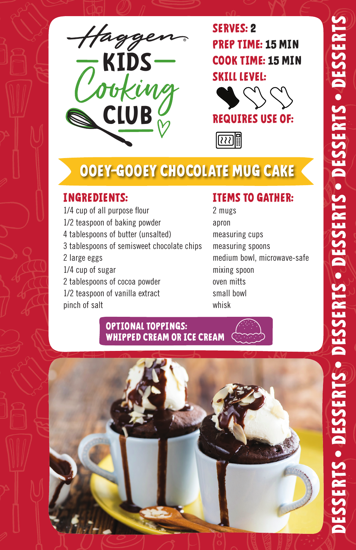

**SERVES: 2 PREP TIME: 15 MIN COOK TIME: 15 MIN SKILL LEVEL:**





# **OOEY-GOOEY CHOCOLATE MUG CAKE**

### **INGREDIENTS:**

1/4 cup of all purpose flour 1/2 teaspoon of baking powder 4 tablespoons of butter (unsalted) 3 tablespoons of semisweet chocolate chips 2 large eggs 1/4 cup of sugar 2 tablespoons of cocoa powder 1/2 teaspoon of vanilla extract pinch of salt

### **ITEMS TO GATHER:**

2 mugs apron measuring cups measuring spoons medium bowl, microwave-safe mixing spoon oven mitts small bowl whisk

#### **OPTIONAL TOPPINGS: WHIPPED CREAM OR ICE CREAM**